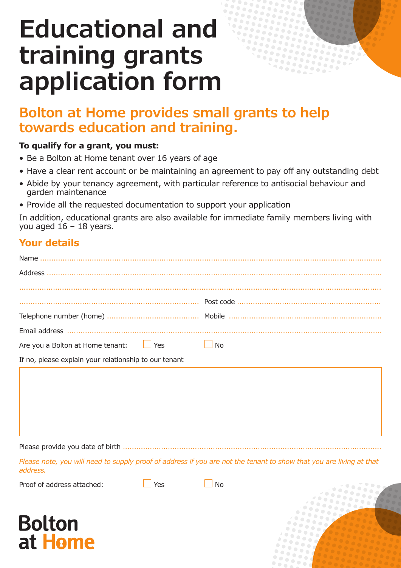# **Educational and training grants application form**

# **Bolton at Home provides small grants to help towards education and training.**

#### **To qualify for a grant, you must:**

- Be a Bolton at Home tenant over 16 years of age
- Have a clear rent account or be maintaining an agreement to pay off any outstanding debt
- Abide by your tenancy agreement, with particular reference to antisocial behaviour and garden maintenance
- Provide all the requested documentation to support your application

In addition, educational grants are also available for immediate family members living with you aged  $16 - 18$  years.

# **Your details**

Please provide you date of birth ................

*Please note, you will need to supply proof of address if you are not the tenant to show that you are living at that address.* 

Proof of address attached:  $\Box$  Yes  $\Box$  No

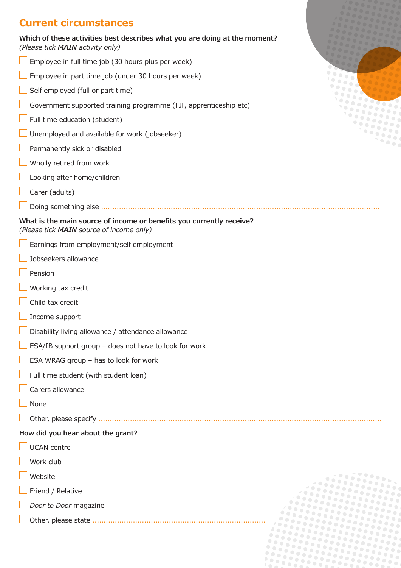# **Current circumstances**

**Which of these activities best describes what you are doing at the moment?**  *(Please tick MAIN activity only)*

- Employee in full time job (30 hours plus per week)
- Employee in part time job (under 30 hours per week)
- Self employed (full or part time)
- Government supported training programme (FJF, apprenticeship etc)
- Full time education (student)
- Unemployed and available for work (jobseeker)
- Permanently sick or disabled
- Wholly retired from work
- Looking after home/children
- Carer (adults)
- Doing something else ............................................................................................................................

#### **What is the main source of income or benefits you currently receive?** *(Please tick MAIN source of income only)*

- Earnings from employment/self employment
- Jobseekers allowance
- Pension
- Working tax credit
- Child tax credit
- Income support
- Disability living allowance / attendance allowance
- ESA/IB support group does not have to look for work
- ESA WRAG group has to look for work
- Full time student (with student loan)
- Carers allowance
- None
- Other, please specify ..............................................................................................................................

#### **How did you hear about the grant?**

- UCAN centre
- Work club
- Website
- Friend / Relative
- *Door to Door* magazine
- Other, please state .............................................................................

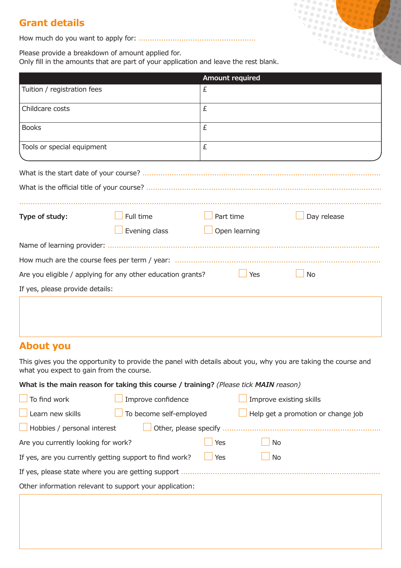# **Grant details**

How much do you want to apply for: ....................................................

Please provide a breakdown of amount applied for.

Only fill in the amounts that are part of your application and leave the rest blank.

|                                 |                                                             | <b>Amount required</b> |             |  |  |
|---------------------------------|-------------------------------------------------------------|------------------------|-------------|--|--|
| Tuition / registration fees     |                                                             | £                      |             |  |  |
| Childcare costs                 |                                                             | £                      |             |  |  |
| <b>Books</b>                    |                                                             | £                      |             |  |  |
| Tools or special equipment      |                                                             | £                      |             |  |  |
|                                 |                                                             |                        |             |  |  |
|                                 |                                                             |                        |             |  |  |
| Type of study:                  | Full time                                                   | Part time              | Day release |  |  |
|                                 | Evening class                                               | Open learning          |             |  |  |
|                                 |                                                             |                        |             |  |  |
|                                 |                                                             |                        |             |  |  |
|                                 | Are you eligible / applying for any other education grants? | $\Box$ Yes             | <b>No</b>   |  |  |
| If yes, please provide details: |                                                             |                        |             |  |  |
|                                 |                                                             |                        |             |  |  |

## **About you**

This gives you the opportunity to provide the panel with details about you, why you are taking the course and what you expect to gain from the course.

**What is the main reason for taking this course / training?** *(Please tick MAIN reason)*

| To find work                                            | Improve confidence      |     | Improve existing skills            |  |  |  |
|---------------------------------------------------------|-------------------------|-----|------------------------------------|--|--|--|
| Learn new skills                                        | To become self-employed |     | Help get a promotion or change job |  |  |  |
| Hobbies / personal interest                             | Other, please specify   |     |                                    |  |  |  |
| Are you currently looking for work?                     |                         | Yes | <b>No</b>                          |  |  |  |
| If yes, are you currently getting support to find work? |                         | Yes | <b>No</b>                          |  |  |  |
| If yes, please state where you are getting support      |                         |     |                                    |  |  |  |
| Other information relevant to support your application: |                         |     |                                    |  |  |  |
|                                                         |                         |     |                                    |  |  |  |